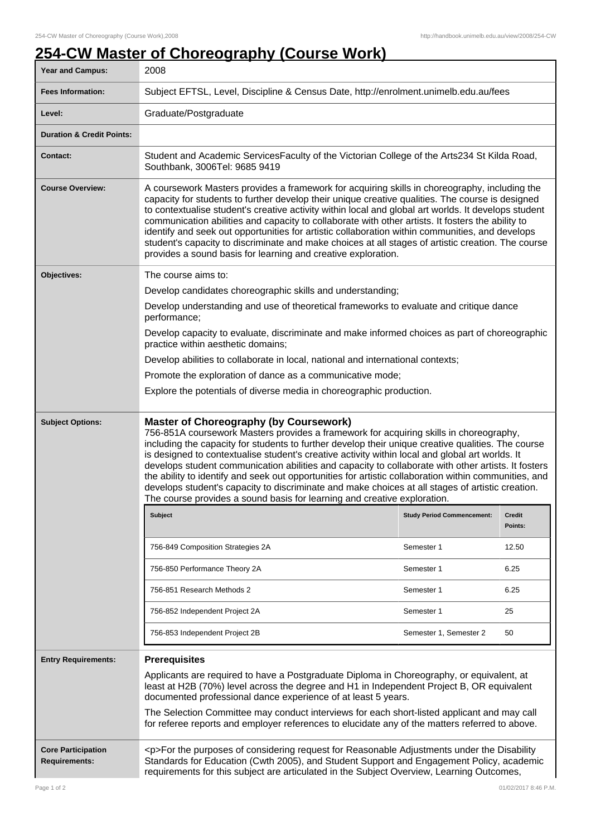## **254-CW Master of Choreography (Course Work)**

| <b>Year and Campus:</b>                           | 2008                                                                                                                                                                                                                                                                                                                                                                                                                                                                                                                                                                                                                                                                                                                                             |                                   |                   |  |
|---------------------------------------------------|--------------------------------------------------------------------------------------------------------------------------------------------------------------------------------------------------------------------------------------------------------------------------------------------------------------------------------------------------------------------------------------------------------------------------------------------------------------------------------------------------------------------------------------------------------------------------------------------------------------------------------------------------------------------------------------------------------------------------------------------------|-----------------------------------|-------------------|--|
| <b>Fees Information:</b>                          | Subject EFTSL, Level, Discipline & Census Date, http://enrolment.unimelb.edu.au/fees                                                                                                                                                                                                                                                                                                                                                                                                                                                                                                                                                                                                                                                             |                                   |                   |  |
| Level:                                            | Graduate/Postgraduate                                                                                                                                                                                                                                                                                                                                                                                                                                                                                                                                                                                                                                                                                                                            |                                   |                   |  |
| <b>Duration &amp; Credit Points:</b>              |                                                                                                                                                                                                                                                                                                                                                                                                                                                                                                                                                                                                                                                                                                                                                  |                                   |                   |  |
| <b>Contact:</b>                                   | Student and Academic ServicesFaculty of the Victorian College of the Arts234 St Kilda Road,<br>Southbank, 3006Tel: 9685 9419                                                                                                                                                                                                                                                                                                                                                                                                                                                                                                                                                                                                                     |                                   |                   |  |
| <b>Course Overview:</b>                           | A coursework Masters provides a framework for acquiring skills in choreography, including the<br>capacity for students to further develop their unique creative qualities. The course is designed<br>to contextualise student's creative activity within local and global art worlds. It develops student<br>communication abilities and capacity to collaborate with other artists. It fosters the ability to<br>identify and seek out opportunities for artistic collaboration within communities, and develops<br>student's capacity to discriminate and make choices at all stages of artistic creation. The course<br>provides a sound basis for learning and creative exploration.                                                         |                                   |                   |  |
| Objectives:                                       | The course aims to:                                                                                                                                                                                                                                                                                                                                                                                                                                                                                                                                                                                                                                                                                                                              |                                   |                   |  |
|                                                   | Develop candidates choreographic skills and understanding;                                                                                                                                                                                                                                                                                                                                                                                                                                                                                                                                                                                                                                                                                       |                                   |                   |  |
|                                                   | Develop understanding and use of theoretical frameworks to evaluate and critique dance<br>performance;                                                                                                                                                                                                                                                                                                                                                                                                                                                                                                                                                                                                                                           |                                   |                   |  |
|                                                   | Develop capacity to evaluate, discriminate and make informed choices as part of choreographic<br>practice within aesthetic domains;                                                                                                                                                                                                                                                                                                                                                                                                                                                                                                                                                                                                              |                                   |                   |  |
|                                                   | Develop abilities to collaborate in local, national and international contexts;                                                                                                                                                                                                                                                                                                                                                                                                                                                                                                                                                                                                                                                                  |                                   |                   |  |
|                                                   | Promote the exploration of dance as a communicative mode;                                                                                                                                                                                                                                                                                                                                                                                                                                                                                                                                                                                                                                                                                        |                                   |                   |  |
|                                                   | Explore the potentials of diverse media in choreographic production.                                                                                                                                                                                                                                                                                                                                                                                                                                                                                                                                                                                                                                                                             |                                   |                   |  |
| <b>Subject Options:</b>                           | <b>Master of Choreography (by Coursework)</b><br>756-851A coursework Masters provides a framework for acquiring skills in choreography,<br>including the capacity for students to further develop their unique creative qualities. The course<br>is designed to contextualise student's creative activity within local and global art worlds. It<br>develops student communication abilities and capacity to collaborate with other artists. It fosters<br>the ability to identify and seek out opportunities for artistic collaboration within communities, and<br>develops student's capacity to discriminate and make choices at all stages of artistic creation.<br>The course provides a sound basis for learning and creative exploration. |                                   |                   |  |
|                                                   | <b>Subject</b>                                                                                                                                                                                                                                                                                                                                                                                                                                                                                                                                                                                                                                                                                                                                   | <b>Study Period Commencement:</b> | Credit<br>Points: |  |
|                                                   | 756-849 Composition Strategies 2A                                                                                                                                                                                                                                                                                                                                                                                                                                                                                                                                                                                                                                                                                                                | Semester 1                        | 12.50             |  |
|                                                   | 756-850 Performance Theory 2A                                                                                                                                                                                                                                                                                                                                                                                                                                                                                                                                                                                                                                                                                                                    | Semester 1                        | 6.25              |  |
|                                                   | 756-851 Research Methods 2                                                                                                                                                                                                                                                                                                                                                                                                                                                                                                                                                                                                                                                                                                                       | Semester 1                        | 6.25              |  |
|                                                   | 756-852 Independent Project 2A                                                                                                                                                                                                                                                                                                                                                                                                                                                                                                                                                                                                                                                                                                                   | Semester 1                        | 25                |  |
|                                                   | 756-853 Independent Project 2B                                                                                                                                                                                                                                                                                                                                                                                                                                                                                                                                                                                                                                                                                                                   | Semester 1, Semester 2            | 50                |  |
| <b>Entry Requirements:</b>                        | <b>Prerequisites</b>                                                                                                                                                                                                                                                                                                                                                                                                                                                                                                                                                                                                                                                                                                                             |                                   |                   |  |
|                                                   | Applicants are required to have a Postgraduate Diploma in Choreography, or equivalent, at<br>least at H2B (70%) level across the degree and H1 in Independent Project B, OR equivalent<br>documented professional dance experience of at least 5 years.                                                                                                                                                                                                                                                                                                                                                                                                                                                                                          |                                   |                   |  |
|                                                   | The Selection Committee may conduct interviews for each short-listed applicant and may call<br>for referee reports and employer references to elucidate any of the matters referred to above.                                                                                                                                                                                                                                                                                                                                                                                                                                                                                                                                                    |                                   |                   |  |
| <b>Core Participation</b><br><b>Requirements:</b> | <p>For the purposes of considering request for Reasonable Adjustments under the Disability<br/>Standards for Education (Cwth 2005), and Student Support and Engagement Policy, academic<br/>requirements for this subject are articulated in the Subject Overview, Learning Outcomes,</p>                                                                                                                                                                                                                                                                                                                                                                                                                                                        |                                   |                   |  |